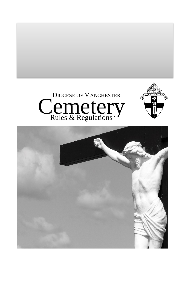



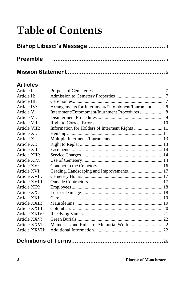# **Table of Contents**

## **Articles**

| Article I:     |                                                    |  |
|----------------|----------------------------------------------------|--|
| Article II:    |                                                    |  |
| Article III:   |                                                    |  |
| Article IV:    | Arrangements for Internment/Entombment/Inurnment 8 |  |
| Article V:     |                                                    |  |
| Article VI:    |                                                    |  |
| Article VII:   |                                                    |  |
| Article VIII:  | Information for Holders of Interment Rights  11    |  |
| Article XI:    |                                                    |  |
| Article X:     |                                                    |  |
| Article XI:    |                                                    |  |
| Article XII:   |                                                    |  |
| Article XIII:  |                                                    |  |
| Article XIV:   |                                                    |  |
| Article XV:    |                                                    |  |
| Article XVI:   | Grading, Landscaping and Improvements 17           |  |
| Article XVII:  |                                                    |  |
| Article XVIII: |                                                    |  |
| Article XIX:   |                                                    |  |
| Article XX:    |                                                    |  |
| Article XXI:   |                                                    |  |
| Article XXII:  |                                                    |  |
| Article XXIII: |                                                    |  |
| Article XXIV:  |                                                    |  |
| Article XXV:   |                                                    |  |
| Article XXVI:  |                                                    |  |
| Article XXVII: |                                                    |  |
|                |                                                    |  |
|                |                                                    |  |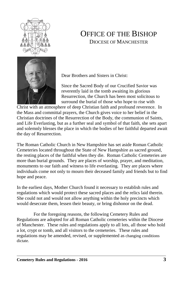

# OFFICE OF THE BISHOP DIOCESE OF MANCHESTER



Dear Brothers and Sisters in Christ:

Since the Sacred Body of our Crucified Savior was reverently laid in the tomb awaiting its glorious Resurrection, the Church has been most solicitous to surround the burial of those who hope to rise with

Christ with an atmosphere of deep Christian faith and profound reverence. In the Mass and committal prayers, the Church gives voice to her belief in the Christian doctrines of the Resurrection of the Body, the communion of Saints, and Life Everlasting, but as a further seal and symbol of that faith, she sets apart and solemnly blesses the place in which the bodies of her faithful departed await the day of Resurrection.

The Roman Catholic Church in New Hampshire has set aside Roman Catholic Cemeteries located throughout the State of New Hampshire as sacred ground, the resting places of the faithful when they die. Roman Catholic Cemeteries are more than burial grounds. They are places of worship, prayer, and meditation, monuments to our faith and witness to life everlasting. They are places where individuals come not only to mourn their deceased family and friends but to find hope and peace.

In the earliest days, Mother Church found it necessary to establish rules and regulations which would protect these sacred places and the relics laid therein. She could not and would not allow anything within the holy precincts which would desecrate them, lessen their beauty, or bring dishonor on the dead.

For the foregoing reasons, the following Cemetery Rules and Regulations are adopted for all Roman Catholic cemeteries within the Diocese of Manchester. These rules and regulations apply to all lots, all those who hold a lot, crypt or tomb, and all visitors to the cemeteries. These rules and regulations may be amended, revised, or supplemented as changing conditions dictate.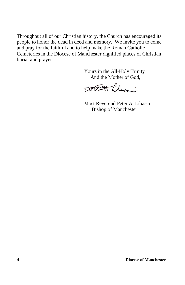Throughout all of our Christian history, the Church has encouraged its people to honor the dead in deed and memory. We invite you to come and pray for the faithful and to help make the Roman Catholic Cemeteries in the Diocese of Manchester dignified places of Christian burial and prayer.

> Yours in the All-Holy Trinity And the Mother of God,

TOPAS Lloui

Most Reverend Peter A. Libasci Bishop of Manchester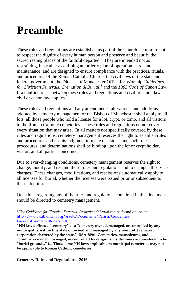# <span id="page-4-1"></span><span id="page-4-0"></span>**Preamble**

These rules and regulations are established as part of the Church's commitment to respect the dignity of every human person and preserve and beautify the sacred resting places of the faithful departed. They are intended not as restraining, but rather as defining an orderly plan of operation, care, and maintenance, and are designed to ensure compliance with the practices, rituals, and procedures of the Roman Catholic Church, the civil laws of the state and federal government, the Diocese of Manchester Office for Worship *Guidelines for Christian Funerals, Cremation & Burial*, [1](#page-4-0) and the *1983 Code of Canon Law*. If a conflict arises between these rules and regulations and civil or canon law, civil or canon law applies. $<sup>2</sup>$  $<sup>2</sup>$  $<sup>2</sup>$ </sup>

These rules and regulations and any amendments, alterations, and additions adopted by cemetery management or the Bishop of Manchester shall apply to all lots, all those people who hold a license for a lot, crypt, or tomb, and all visitors to the Roman Catholic cemeteries. These rules and regulations do not cover every situation that may arise. In all matters not specifically covered by these rules and regulations, cemetery management reserves the right to establish rules and procedures and use its judgment to make decisions, and such rules, procedures, and determinations shall be binding upon the lot or crypt holder, visitor, and all parties concerned.

Due to ever-changing conditions, cemetery management reserves the right to change, modify, and rescind these rules and regulations and to change all service charges. These changes, modifications, and rescissions automatically apply to all licenses for burial, whether the licenses were issued prior or subsequent to their adoption.

Questions regarding any of the rules and regulations contained in this document should be directed to cemetery management.

 $\overline{a}$ <sup>1</sup> The *Guidelines for Christian Funerals, Cremation & Burial* can be found online at: [http://www.catholicnh.org/assets/Documents/Parish/Guidelines-](http://www.catholicnh.org/assets/Documents/Parish/Guidelines-FuneralsCremationBurials.pdf)[FuneralsCremationBurials.pdf](http://www.catholicnh.org/assets/Documents/Parish/Guidelines-FuneralsCremationBurials.pdf)

<sup>2</sup> **NH law defines a "cemetery" as a "cemetery owned, managed, or controlled by any municipality within this state or owned and managed by any nonprofit cemetery corporation chartered by the state." RSA 289:1. Cemeteries, mausoleums, and columbaria owned, managed, or controlled by religious institutions are considered to be "burial grounds."** *Id***. Thus, some NH laws applicable to municipal cemeteries may not be applicable to Roman Catholic cemeteries.**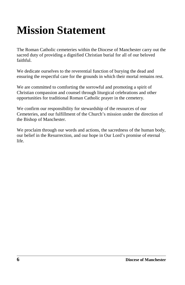# **Mission Statement**

The Roman Catholic cemeteries within the Diocese of Manchester carry out the sacred duty of providing a dignified Christian burial for all of our beloved faithful.

We dedicate ourselves to the reverential function of burying the dead and ensuring the respectful care for the grounds in which their mortal remains rest.

We are committed to comforting the sorrowful and promoting a spirit of Christian compassion and counsel through liturgical celebrations and other opportunities for traditional Roman Catholic prayer in the cemetery.

We confirm our responsibility for stewardship of the resources of our Cemeteries, and our fulfillment of the Church's mission under the direction of the Bishop of Manchester.

We proclaim through our words and actions, the sacredness of the human body, our belief in the Resurrection, and our hope in Our Lord's promise of eternal life.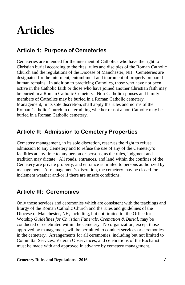# **Articles**

# **Article 1: Purpose of Cemeteries**

Cemeteries are intended for the interment of Catholics who have the right to Christian burial according to the rites, rules and disciples of the Roman Catholic Church and the regulations of the Diocese of Manchester, NH. Cemeteries are designated for the interment, entombment and inurnment of properly prepared human remains. In addition to practicing Catholics, those who have not been active in the Catholic faith or those who have joined another Christian faith may be buried in a Roman Catholic Cemetery. Non-Catholic spouses and family members of Catholics may be buried in a Roman Catholic cemetery. Management, in its sole discretion, shall apply the rules and norms of the Roman Catholic Church in determining whether or not a non-Catholic may be buried in a Roman Catholic cemetery.

## **Article II: Admission to Cemetery Properties**

Cemetery management, in its sole discretion, reserves the right to refuse admission to any Cemetery and to refuse the use of any of the Cemetery's facilities at any time to any person or persons, as the rules, judgment and tradition may dictate. All roads, entrances, and land within the confines of the Cemetery are private property, and entrance is limited to persons authorized by management. At management's discretion, the cemetery may be closed for inclement weather and/or if there are unsafe conditions.

## **Article III: Ceremonies**

Only those services and ceremonies which are consistent with the teachings and liturgy of the Roman Catholic Church and the rules and guidelines of the Diocese of Manchester, NH, including, but not limited to, the Office for Worship *Guidelines for Christian Funerals, Cremation & Burial*, may be conducted or celebrated within the cemetery. No organization, except those approved by management, will be permitted to conduct services or ceremonies in the cemetery. Arrangements for all ceremonies, including but not limited to Committal Services, Veteran Observances, and celebrations of the Eucharist must be made with and approved in advance by cemetery management.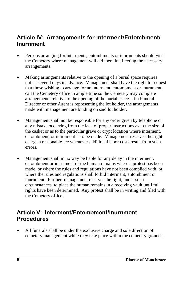## **Article IV: Arrangements for Interment/Entombment/ Inurnment**

- Persons arranging for interments, entombments or inurnments should visit the Cemetery where management will aid them in effecting the necessary arrangements.
- Making arrangements relative to the opening of a burial space requires notice several days in advance. Management shall have the right to request that those wishing to arrange for an interment, entombment or inurnment, call the Cemetery office in ample time so the Cemetery may complete arrangements relative to the opening of the burial space. If a Funeral Director or other Agent is representing the lot holder, the arrangements made with management are binding on said lot holder.
- Management shall not be responsible for any order given by telephone or any mistake occurring from the lack of proper instructions as to the size of the casket or as to the particular grave or crypt location where interment, entombment, or inurnment is to be made. Management reserves the right charge a reasonable fee whenever additional labor costs result from such errors.
- Management shall in no way be liable for any delay in the interment, entombment or inurnment of the human remains where a protest has been made, or where the rules and regulations have not been complied with, or where the rules and regulations shall forbid interment, entombment or inurnment. Further, management reserves the right, under such circumstances, to place the human remains in a receiving vault until full rights have been determined. Any protest shall be in writing and filed with the Cemetery office.

## **Article V: Interment/Entombment/Inurnment Procedures**

All funerals shall be under the exclusive charge and sole direction of cemetery management while they take place within the cemetery grounds.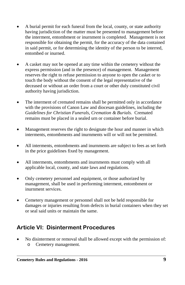- A burial permit for each funeral from the local, county, or state authority having jurisdiction of the matter must be presented to management before the interment, entombment or inurnment is completed. Management is not responsible for obtaining the permit, for the accuracy of the data contained in said permit, or for determining the identity of the person to be interred, entombed or inurned.
- A casket may not be opened at any time within the cemetery without the express permission (and in the presence) of management. Management reserves the right to refuse permission to anyone to open the casket or to touch the body without the consent of the legal representative of the deceased or without an order from a court or other duly constituted civil authority having jurisdiction.
- The interment of cremated remains shall be permitted only in accordance with the provisions of Canon Law and diocesan guidelines, including the *Guidelines for Christian Funerals, Cremation & Burials*. Cremated remains must be placed in a sealed urn or container before burial.
- Management reserves the right to designate the hour and manner in which interments, entombments and inurnments will or will not be permitted.
- All interments, entombments and inurnments are subject to fees as set forth in the price guidelines fixed by management.
- All interments, entombments and inurnments must comply with all applicable local, county, and state laws and regulations.
- Only cemetery personnel and equipment, or those authorized by management, shall be used in performing interment, entombment or inurnment services.
- Cemetery management or personnel shall not be held responsible for damages or injuries resulting from defects in burial containers when they set or seal said units or maintain the same.

## **Article VI: Disinterment Procedures**

• No disinterment or removal shall be allowed except with the permission of: o Cemetery management.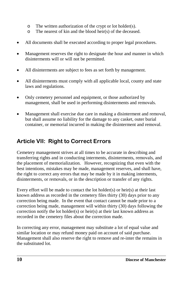- o The written authorization of the crypt or lot holder(s).
- o The nearest of kin and the blood heir(s) of the deceased.
- All documents shall be executed according to proper legal procedures.
- Management reserves the right to designate the hour and manner in which disinterments will or will not be permitted.
- All disinterments are subject to fees as set forth by management.
- All disinterments must comply with all applicable local, county and state laws and regulations.
- Only cemetery personnel and equipment, or those authorized by management, shall be used in performing disinterments and removals.
- Management shall exercise due care in making a disinterment and removal, but shall assume no liability for the damage to any casket, outer burial container, or memorial incurred in making the disinterment and removal.

# **Article VII: Right to Correct Errors**

Cemetery management strives at all times to be accurate in describing and transferring rights and in conducting interments, disinterments, removals, and the placement of memorialization. However, recognizing that even with the best intentions, mistakes may be made, management reserves, and shall have, the right to correct any errors that may be made by it in making interments, disinterments, or removals, or in the description or transfer of any rights.

Every effort will be made to contact the lot holder(s) or heir(s) at their last known address as recorded in the cemetery files thirty (30) days prior to any correction being made. In the event that contact cannot be made prior to a correction being made, management will within thirty (30) days following the correction notify the lot holder(s) or heir(s) at their last known address as recorded in the cemetery files about the correction made.

In correcting any error, management may substitute a lot of equal value and similar location or may refund money paid on account of said purchase. Management shall also reserve the right to remove and re-inter the remains in the substituted lot.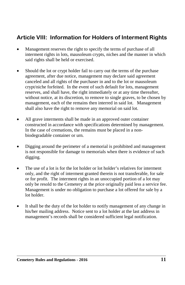# **Article VIII: Information for Holders of Interment Rights**

- Management reserves the right to specify the terms of purchase of all interment rights in lots, mausoleum crypts, niches and the manner in which said rights shall be held or exercised.
- Should the lot or crypt holder fail to carry out the terms of the purchase agreement, after due notice, management may declare said agreement canceled and all rights of the purchaser in and to the lot or mausoleum crypt/niche forfeited. In the event of such default for lots, management reserves, and shall have, the right immediately or at any time thereafter, without notice, at its discretion, to remove to single graves, to be chosen by management, each of the remains then interred in said lot. Management shall also have the right to remove any memorial on said lot.
- All grave interments shall be made in an approved outer container constructed in accordance with specifications determined by management. In the case of cremations, the remains must be placed in a nonbiodegradable container or urn.
- Digging around the perimeter of a memorial is prohibited and management is not responsible for damage to memorials when there is evidence of such digging.
- The use of a lot is for the lot holder or lot holder's relatives for interment only, and the right of interment granted therein is not transferable, for sale or for profit. The interment rights in an unoccupied portion of a lot may only be resold to the Cemetery at the price originally paid less a service fee. Management is under no obligation to purchase a lot offered for sale by a lot holder.
- It shall be the duty of the lot holder to notify management of any change in his/her mailing address. Notice sent to a lot holder at the last address in management's records shall be considered sufficient legal notification.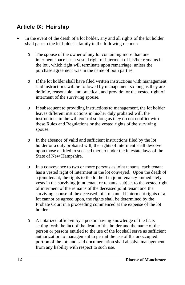# **Article IX: Heirship**

- In the event of the death of a lot holder, any and all rights of the lot holder shall pass to the lot holder's family in the following manner:
	- o The spouse of the owner of any lot containing more than one interment space has a vested right of interment of his/her remains in the lot , which right will terminate upon remarriage, unless the purchase agreement was in the name of both parties.
	- o If the lot holder shall have filed written instructions with management, said instructions will be followed by management so long as they are definite, reasonable, and practical, and provide for the vested right of interment of the surviving spouse.
	- o If subsequent to providing instructions to management, the lot holder leaves different instructions in his/her duly probated will, the instructions in the will control so long as they do not conflict with these Rules and Regulations or the vested rights of the surviving spouse.
	- o In the absence of valid and sufficient instructions filed by the lot holder or a duly probated will, the rights of interment shall devolve upon those entitled to succeed thereto under the intestate laws of the State of New Hampshire.
	- o In a conveyance to two or more persons as joint tenants, each tenant has a vested right of interment in the lot conveyed. Upon the death of a joint tenant, the rights to the lot held in joint tenancy immediately vests in the surviving joint tenant or tenants, subject to the vested right of interment of the remains of the deceased joint tenant and the surviving spouse of the deceased joint tenant. If interment rights of a lot cannot be agreed upon, the rights shall be determined by the Probate Court in a proceeding commenced at the expense of the lot holders.
	- o A notarized affidavit by a person having knowledge of the facts setting forth the fact of the death of the holder and the name of the person or persons entitled to the use of the lot shall serve as sufficient authorization to management to permit the use of the unoccupied portion of the lot; and said documentation shall absolve management from any liability with respect to such use.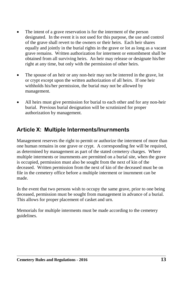- The intent of a grave reservation is for the interment of the person designated. In the event it is not used for this purpose, the use and control of the grave shall revert to the owners or their heirs. Each heir shares equally and jointly in the burial rights in the grave or lot as long as a vacant grave remains. Written authorization for interment or entombment shall be obtained from all surviving heirs. An heir may release or designate his/her right at any time, but only with the permission of other heirs.
- The spouse of an heir or any non-heir may not be interred in the grave, lot or crypt except upon the written authorization of all heirs. If one heir withholds his/her permission, the burial may not be allowed by management.
- All heirs must give permission for burial to each other and for any non-heir burial. Previous burial designation will be scrutinized for proper authorization by management.

# **Article X: Multiple Interments/Inurnments**

Management reserves the right to permit or authorize the interment of more than one human remains in one grave or crypt. A corresponding fee will be required, as determined by management as part of the stated cemetery charges. Where multiple interments or inurnments are permitted on a burial site, when the grave is occupied, permission must also be sought from the next of kin of the deceased. Written permission from the next of kin of the deceased must be on file in the cemetery office before a multiple interment or inurnment can be made.

In the event that two persons wish to occupy the same grave, prior to one being deceased, permission must be sought from management in advance of a burial. This allows for proper placement of casket and urn.

Memorials for multiple interments must be made according to the cemetery guidelines.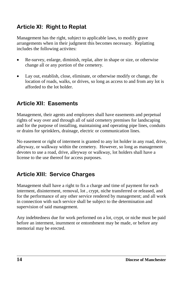# **Article XI: Right to Replat**

Management has the right, subject to applicable laws, to modify grave arrangements when in their judgment this becomes necessary. Replatting includes the following activites:

- Re-survey, enlarge, diminish, replat, alter in shape or size, or otherwise change all or any portion of the cemetery.
- Lay out, establish, close, eliminate, or otherwise modify or change, the location of roads, walks, or drives, so long as access to and from any lot is afforded to the lot holder.

## **Article XII: Easements**

Management, their agents and employees shall have easements and perpetual rights of way over and through all of said cemetery premises for landscaping and for the purpose of installing, maintaining and operating pipe lines, conduits or drains for sprinklers, drainage, electric or communication lines.

No easement or right of interment is granted to any lot holder in any road, drive, alleyway, or walkway within the cemetery. However, so long as management devotes to use a road, drive, alleyway or walkway, lot holders shall have a license to the use thereof for access purposes.

# **Article XIII: Service Charges**

Management shall have a right to fix a charge and time of payment for each interment, disinterment, removal, lot , crypt, niche transferred or released, and for the performance of any other service rendered by management; and all work in connection with such service shall be subject to the determination and supervision of said management.

Any indebtedness due for work performed on a lot, crypt, or niche must be paid before an interment, inurnment or entombment may be made, or before any memorial may be erected.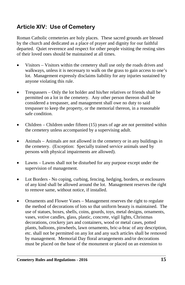# **Article XIV: Use of Cemetery**

Roman Catholic cemeteries are holy places. These sacred grounds are blessed by the church and dedicated as a place of prayer and dignity for our faithful departed. Quiet reverence and respect for other people visiting the resting sites of their loved ones should be maintained at all times.

- Visitors Visitors within the cemetery shall use only the roads drives and walkways, unless it is necessary to walk on the grass to gain access to one's lot. Management expressly disclaims liability for any injuries sustained by anyone violating this rule.
- Trespassers Only the lot holder and his/her relatives or friends shall be permitted on a lot in the cemetery. Any other person thereon shall be considered a trespasser, and management shall owe no duty to said trespasser to keep the property, or the memorial thereon, in a reasonable safe condition.
- Children Children under fifteen (15) years of age are not permitted within the cemetery unless accompanied by a supervising adult.
- Animals Animals are not allowed in the cemetery or in any buildings in the cemetery. (Exception: Specially trained service animals used by persons with physical impairments are allowed).
- Lawns Lawns shall not be disturbed for any purpose except under the supervision of management.
- Lot Borders No coping, curbing, fencing, hedging, borders, or enclosures of any kind shall be allowed around the lot. Management reserves the right to remove same, without notice, if installed.
- Ornaments and Flower Vases Management reserves the right to regulate the method of decorations of lots so that uniform beauty is maintained. The use of statues, boxes, shells, coins, gourds, toys, metal designs, ornaments, vases, votive candles, glass, plastic, concrete, vigil lights, Christmas decorations, crockery jars and containers, wood or metal cases, potted plants, balloons, pinwheels, lawn ornaments, bric-a-brac of any description, etc. shall not be permitted on any lot and any such articles shall be removed by management. Memorial Day floral arrangements and/or decorations must be placed on the base of the monument or placed on an extension to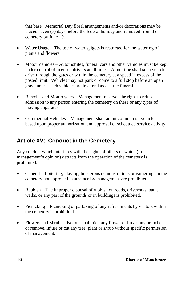that base. Memorial Day floral arrangements and/or decorations may be placed seven (7) days before the federal holiday and removed from the cemetery by June 10.

- Water Usage The use of water spigots is restricted for the watering of plants and flowers.
- Motor Vehicles Automobiles, funeral cars and other vehicles must be kept under control of licensed drivers at all times. At no time shall such vehicles drive through the gates or within the cemetery at a speed in excess of the posted limit. Vehicles may not park or come to a full stop before an open grave unless such vehicles are in attendance at the funeral.
- Bicycles and Motorcycles Management reserves the right to refuse admission to any person entering the cemetery on these or any types of moving apparatus.
- Commercial Vehicles Management shall admit commercial vehicles based upon proper authorization and approval of scheduled service activity.

# **Article XV: Conduct in the Cemetery**

Any conduct which interferes with the rights of others or which (in management's opinion) detracts from the operation of the cemetery is prohibited.

- General Loitering, playing, boisterous demonstrations or gatherings in the cemetery not approved in advance by management are prohibited.
- Rubbish The improper disposal of rubbish on roads, driveways, paths, walks, or any part of the grounds or in buildings is prohibited.
- Picnicking Picnicking or partaking of any refreshments by visitors within the cemetery is prohibited.
- Flowers and Shrubs No one shall pick any flower or break any branches or remove, injure or cut any tree, plant or shrub without specific permission of management.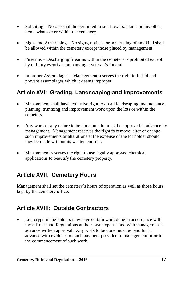- Soliciting No one shall be permitted to sell flowers, plants or any other items whatsoever within the cemetery.
- Signs and Advertising No signs, notices, or advertising of any kind shall be allowed within the cemetery except those placed by management.
- Firearms Discharging firearms within the cemetery is prohibited except by military escort accompanying a veteran's funeral.
- Improper Assemblages Management reserves the right to forbid and prevent assemblages which it deems improper.

# **Article XVI: Grading, Landscaping and Improvements**

- Management shall have exclusive right to do all landscaping, maintenance, planting, trimming and improvement work upon the lots or within the cemetery.
- Any work of any nature to be done on a lot must be approved in advance by management. Management reserves the right to remove, alter or change such improvements or alterations at the expense of the lot holder should they be made without its written consent.
- Management reserves the right to use legally approved chemical applications to beautify the cemetery property.

## **Article XVII: Cemetery Hours**

Management shall set the cemetery's hours of operation as well as those hours kept by the cemetery office.

# **Article XVIII: Outside Contractors**

Lot, crypt, niche holders may have certain work done in accordance with these Rules and Regulations at their own expense and with management's advance written approval. Any work to be done must be paid for in advance with evidence of such payment provided to management prior to the commencement of such work.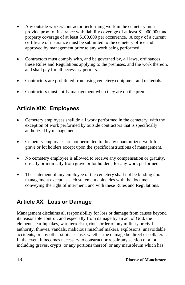- Any outside worker/contractor performing work in the cemetery must provide proof of insurance with liability coverage of at least \$1,000,000 and property coverage of at least \$100,000 per occurrence. A copy of a current certificate of insurance must be submitted to the cemetery office and approved by management prior to any work being performed.
- Contractors must comply with, and be governed by, all laws, ordinances, these Rules and Regulations applying to the premises, and the work thereon, and shall pay for all necessary permits.
- Contractors are prohibited from using cemetery equipment and materials.
- Contractors must notify management when they are on the premises.

# **Article XIX: Employees**

- Cemetery employees shall do all work performed in the cemetery, with the exception of work performed by outside contractors that is specifically authorized by management.
- Cemetery employees are not permitted to do any unauthorized work for grave or lot holders except upon the specific instructions of management.
- No cemetery employee is allowed to receive any compensation or gratuity, directly or indirectly from grave or lot holders, for any work performed.
- The statement of any employee of the cemetery shall not be binding upon management except as such statement coincides with the document conveying the right of interment, and with these Rules and Regulations.

# **Article XX: Loss or Damage**

Management disclaims all responsibility for loss or damage from causes beyond its reasonable control, and especially from damage by an act of God, the elements, earthquakes, war, terrorism, riots, order of any military or civil authority, thieves, vandals, malicious mischief makers, explosions, unavoidable accidents, or any other similar cause, whether the damage be direct or collateral. In the event it becomes necessary to construct or repair any section of a lot, including graves, crypts, or any portions thereof, or any mausoleum which has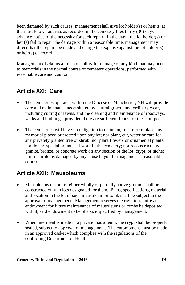been damaged by such causes, management shall give lot holder(s) or heir(s) at their last known address as recorded in the cemetery files thirty (30) days advance notice of the necessity for such repair. In the event the lot holder(s) or heir(s) fail to repair the damage within a reasonable time, management may direct that the repairs be made and charge the expense against the lot holder(s) or heir(s) of record.

Management disclaims all responsibility for damage of any kind that may occur to memorials in the normal course of cemetery operations, performed with reasonable care and caution.

# **Article XXI: Care**

- The cemeteries operated within the Diocese of Manchester, NH will provide care and maintenance necessitated by natural growth and ordinary wear, including cutting of lawns, and the cleaning and maintenance of roadways, walks and buildings, provided there are sufficient funds for these purposes.
- The cemeteries will have no obligation to maintain, repair, or replace any memorial placed or erected upon any lot; nor plant, cut, water or care for any privately planted tree or shrub; nor plant flowers or ornamental plants; nor do any special or unusual work in the cemetery; nor reconstruct any granite, bronze, or concrete work on any section of the lot, crypt, or niche; nor repair items damaged by any cause beyond management's reasonable control.

## **Article XXII: Mausoleums**

- Mausoleums or tombs, either wholly or partially above ground, shall be constructed only in lots designated for them. Plans, specifications, material and location in the lot of such mausoleum or tomb shall be subject to the approval of management. Management reserves the right to require an endowment for future maintenance of mausoleums or tombs be deposited with it, said endowment to be of a size specified by management.
- When interment is made in a private mausoleum, the crypt shall be properly sealed, subject to approval of management. The entombment must be made in an approved casket which complies with the regulations of the controlling Department of Health.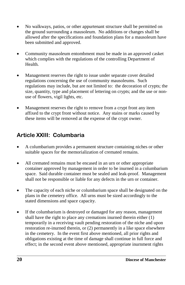- No walkways, patios, or other appurtenant structure shall be permitted on the ground surrounding a mausoleum. No additions or changes shall be allowed after the specifications and foundation plans for a mausoleum have been submitted and approved.
- Community mausoleum entombment must be made in an approved casket which complies with the regulations of the controlling Department of Health.
- Management reserves the right to issue under separate cover detailed regulations concerning the use of community mausoleums. Such regulations may include, but are not limited to: the decoration of crypts; the size, quantity, type and placement of lettering on crypts; and the use or nonuse of flowers, vigil lights, etc.
- Management reserves the right to remove from a crypt front any item affixed to the crypt front without notice. Any stains or marks caused by these items will be removed at the expense of the crypt owner.

# **Article XXIII: Columbaria**

- A columbarium provides a permanent structure containing niches or other suitable spaces for the memorialization of cremated remains.
- All cremated remains must be encased in an urn or other appropriate container approved by management in order to be inurned in a columbarium space. Said durable container must be sealed and leak-proof. Management shall not be responsible or liable for any defects in the urn or container.
- The capacity of each niche or columbarium space shall be designated on the plans in the cemetery office. All urns must be sized accordingly to the stated dimensions and space capacity.
- If the columbarium is destroyed or damaged for any reason, management shall have the right to place any cremations inurned therein either (1) temporarily in a receiving vault pending restoration of the niche and upon restoration re-inurned therein, or (2) permanently in a like space elsewhere in the cemetery. In the event first above mentioned, all prior rights and obligations existing at the time of damage shall continue in full force and effect; in the second event above mentioned, appropriate inurnment rights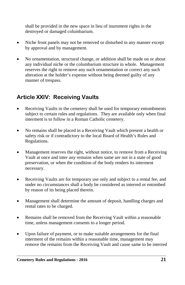shall be provided in the new space in lieu of inurnment rights in the destroyed or damaged columbarium.

- Niche front panels may not be removed or disturbed in any manner except by approval and by management.
- No ornamentation, structural change, or addition shall be made on or about any individual niche or the columbarium structure in whole. Management reserves the right to remove any such ornamentation or correct any such alteration at the holder's expense without being deemed guilty of any manner of trespass.

# **Article XXIV: Receiving Vaults**

- Receiving Vaults in the cemetery shall be used for temporary entombments subject to certain rules and regulations. They are available only when final interment is to follow in a Roman Catholic cemetery.
- No remains shall be placed in a Receiving Vault which present a health or safety risk or if contradictory to the local Board of Health's Rules and Regulations.
- Management reserves the right, without notice, to remove from a Receiving Vault at once and inter any remains when same are not in a state of good preservation, or when the condition of the body renders its interment necessary.
- Receiving Vaults are for temporary use only and subject to a rental fee, and under no circumstances shall a body be considered as interred or entombed by reason of its being placed therein.
- Management shall determine the amount of deposit, handling charges and rental rates to be charged.
- Remains shall be removed from the Receiving Vault within a reasonable time, unless management consents to a longer period.
- Upon failure of payment, or to make suitable arrangements for the final interment of the remains within a reasonable time, management may remove the remains from the Receiving Vault and cause same to be interred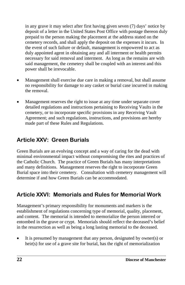in any grave it may select after first having given seven (7) days' notice by deposit of a letter in the United States Post Office with postage thereon duly prepaid to the person making the placement at the address stated on the cemetery records, and shall apply the deposit on the expenses it incurs. In the event of such failure or default, management is empowered to act as duly appointed agent in obtaining any and all interment or health permits necessary for said removal and interment. As long as the remains are with said management, the cemetery shall be coupled with an interest and this power shall be irrevocable.

- Management shall exercise due care in making a removal, but shall assume no responsibility for damage to any casket or burial case incurred in making the removal.
- Management reserves the right to issue at any time under separate cover detailed regulations and instructions pertaining to Receiving Vaults in the cemetery, or to incorporate specific provisions in any Receiving Vault Agreement; and such regulations, instructions, and provisions are hereby made part of these Rules and Regulations.

## **Article XXV: Green Burials**

Green Burials are an evolving concept and a way of caring for the dead with minimal environmental impact without compromising the rites and practices of the Catholic Church. The practice of Green Burials has many interpretations and many definitions. Management reserves the right to incorporate Green Burial space into their cemetery. Consultation with cemetery management will determine if and how Green Burials can be accommodated.

# **Article XXVI: Memorials and Rules for Memorial Work**

Management's primary responsibility for monuments and markers is the establishment of regulations concerning type of memorial, quality, placement, and content. The memorial is intended to memorialize the person interred or entombed in the grave or crypt. Memorials should reflect the deceased's belief in the resurrection as well as being a long lasting memorial to the deceased.

It is presumed by management that any person, designated by owner(s) or heir(s) for use of a grave site for burial, has the right of memorialization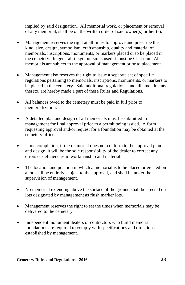implied by said designation. All memorial work, or placement or removal of any memorial, shall be on the written order of said owner(s) or heir(s).

- Management reserves the right at all times to approve and prescribe the kind, size, design, symbolism, craftsmanship, quality and material of memorials, inscriptions, monuments, or markers placed or to be placed in the cemetery. In general, if symbolism is used it must be Christian. All memorials are subject to the approval of management prior to placement.
- Management also reserves the right to issue a separate set of specific regulations pertaining to memorials, inscriptions, monuments, or markers to be placed in the cemetery. Said additional regulations, and all amendments thereto, are hereby made a part of these Rules and Regulations.
- All balances owed to the cemetery must be paid in full prior to memorialization.
- A detailed plan and design of all memorials must be submitted to management for final approval prior to a permit being issued. A form requesting approval and/or request for a foundation may be obtained at the cemetery office.
- Upon completion, if the memorial does not conform to the approval plan and design, it will be the sole responsibility of the dealer to correct any errors or deficiencies in workmanship and material.
- The location and position in which a memorial is to be placed or erected on a lot shall be entirely subject to the approval, and shall be under the supervision of management.
- No memorial extending above the surface of the ground shall be erected on lots designated by management as flush marker lots.
- Management reserves the right to set the times when memorials may be delivered to the cemetery.
- Independent monument dealers or contractors who build memorial foundations are required to comply with specifications and directions established by management.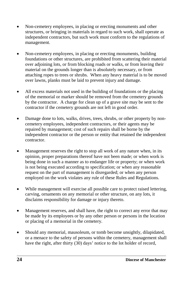- Non-cemetery employees, in placing or erecting monuments and other structures, or bringing in materials in regard to such work, shall operate as independent contractors, but such work must conform to the regulations of management.
- Non-cemetery employees, in placing or erecting monuments, building foundations or other structures, are prohibited from scattering their material over adjoining lots, or from blocking roads or walks, or from leaving their material on the grounds longer than is absolutely necessary, or from attaching ropes to trees or shrubs. When any heavy material is to be moved over lawns, planks must be laid to prevent injury and damage.
- All excess materials not used in the building of foundations or the placing of the memorial or marker should be removed from the cemetery grounds by the contractor. A charge for clean up of a grave site may be sent to the contractor if the cemetery grounds are not left in good order.
- Damage done to lots, walks, drives, trees, shrubs, or other property by noncemetery employees, independent contractors, or their agents may be repaired by management; cost of such repairs shall be borne by the independent contractor or the person or entity that retained the independent contractor.
- Management reserves the right to stop all work of any nature when, in its opinion, proper preparations thereof have not been made; or when work is being done in such a manner as to endanger life or property; or when work is not being executed according to specification; or when any reasonable request on the part of management is disregarded; or when any person employed on the work violates any rule of these Rules and Regulations.
- While management will exercise all possible care to protect raised lettering, carving, ornaments on any memorial or other structure, on any lots, it disclaims responsibility for damage or injury thereto.
- Management reserves, and shall have, the right to correct any error that may be made by its employees or by any other person or persons in the location or placing of a memorial in the cemetery.
- Should any memorial, mausoleum, or tomb become unsightly, dilapidated, or a menace to the safety of persons within the cemetery, management shall have the right, after thirty (30) days' notice to the lot holder of record,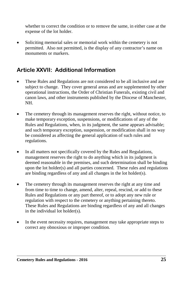whether to correct the condition or to remove the same, in either case at the expense of the lot holder.

• Soliciting memorial sales or memorial work within the cemetery is not permitted. Also not permitted, is the display of any contractor's name on monuments or markers.

# **Article XXVII: Additional Information**

- These Rules and Regulations are not considered to be all inclusive and are subject to change. They cover general areas and are supplemented by other operational instructions, the Order of Christian Funerals, existing civil and canon laws, and other instruments published by the Diocese of Manchester, NH.
- The cemetery through its management reserves the right, without notice, to make temporary exception, suspensions, or modifications of any of the Rules and Regulations, when, in its judgment, the same appears advisable; and such temporary exception, suspension, or modification shall in no way be considered as affecting the general application of such rules and regulations.
- In all matters not specifically covered by the Rules and Regulations, management reserves the right to do anything which in its judgment is deemed reasonable in the premises, and such determination shall be binding upon the lot holder(s) and all parties concerned. These rules and regulations are binding regardless of any and all changes in the lot holder(s).
- The cemetery through its management reserves the right at any time and from time to time to change, amend, alter, repeal, rescind, or add to these Rules and Regulations or any part thereof, or to adopt any new rule or regulation with respect to the cemetery or anything pertaining thereto. These Rules and Regulations are binding regardless of any and all changes in the individual lot holder(s).
- In the event necessity requires, management may take appropriate steps to correct any obnoxious or improper condition.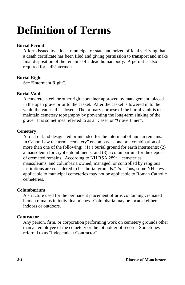# **Definition of Terms**

## **Burial Permit**

A form issued by a local municipal or state authorized official verifying that a death certificate has been filed and giving permission to transport and make final disposition of the remains of a dead human body. A permit is also required for a disinterment.

## **Burial Right**

See "Interment Right".

## **Burial Vault**

A concrete, steel, or other rigid container approved by management, placed in the open grave prior to the casket. After the casket is lowered in to the vault, the vault lid is closed. The primary purpose of the burial vault is to maintain cemetery topography by preventing the long-term sinking of the grave. It is sometimes referred to as a "Case" or "Grave Liner".

## **Cemetery**

A tract of land designated or intended for the interment of human remains. In Canon Law the term "cemetery" encompasses one or a combination of more than one of the following: (1) a burial ground for earth interments; (2) a mausoleum for crypt entombments; and (3) a columbarium for the deposit of cremated remains. According to NH RSA 289:1, cemeteries, mausoleums, and columbaria owned, managed, or controlled by religious institutions are considered to be "burial grounds." *Id*. Thus, some NH laws applicable to municipal cemeteries may not be applicable to Roman Catholic cemeteries.

## **Columbarium**

A structure used for the permanent placement of urns containing cremated human remains in individual niches. Columbaria may be located either indoors or outdoors.

## **Contractor**

Any person, firm, or corporation performing work on cemetery grounds other than an employee of the cemetery or the lot holder of record. Sometimes referred to as "Independent Contractor".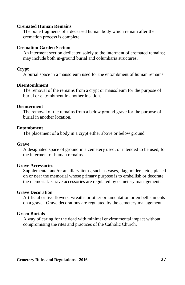#### **Cremated Human Remains**

The bone fragments of a deceased human body which remain after the cremation process is complete.

#### **Cremation Garden Section**

An interment section dedicated solely to the interment of cremated remains; may include both in-ground burial and columbaria structures.

## **Crypt**

A burial space in a mausoleum used for the entombment of human remains.

#### **Disentombment**

The removal of the remains from a crypt or mausoleum for the purpose of burial or entombment in another location.

#### **Disinterment**

The removal of the remains from a below ground grave for the purpose of burial in another location.

#### **Entombment**

The placement of a body in a crypt either above or below ground.

#### **Grave**

A designated space of ground in a cemetery used, or intended to be used, for the interment of human remains.

## **Grave Accessories**

Supplemental and/or ancillary items, such as vases, flag holders, etc., placed on or near the memorial whose primary purpose is to embellish or decorate the memorial. Grave accessories are regulated by cemetery management.

## **Grave Decoration**

Artificial or live flowers, wreaths or other ornamentation or embellishments on a grave. Grave decorations are regulated by the cemetery management.

## **Green Burials**

A way of caring for the dead with minimal environmental impact without compromising the rites and practices of the Catholic Church.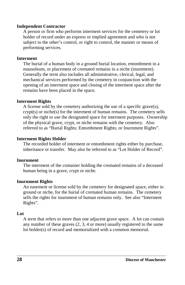#### **Independent Contractor**

A person or firm who performs interment services for the cemetery or lot holder of record under an express or implied agreement and who is not subject to the other's control, or right to control, the manner or means of performing services.

#### **Interment**

The burial of a human body in a ground burial location, entombment in a mausoleum, or placement of cremated remains in a niche (inurnment). Generally the term also includes all administrative, clerical, legal, and mechanical services performed by the cemetery in conjunction with the opening of an interment space and closing of the interment space after the remains have been placed in the space.

## **Interment Rights**

A license sold by the cemetery authorizing the use of a specific grave(s), crypt(s) or niche(s) for the interment of human remains. The cemetery sells only the right to use the designated space for interment purposes. Ownership of the physical grave, crypt, or niche remains with the cemetery. Also referred to as "Burial Rights; Entombment Rights; or Inurnment Rights".

#### **Interment Rights Holder**

The recorded holder of interment or entombment rights either by purchase, inheritance or transfer. May also be referred to as "Lot Holder of Record".

#### **Inurnment**

The interment of the container holding the cremated remains of a deceased human being in a grave, crypt or niche.

## **Inurnment Rights**

An easement or license sold by the cemetery for designated space, either in ground or niche, for the burial of cremated human remains. The cemetery sells the rights for inurnment of human remains only. See also "Interment Rights".

## **Lot**

A term that refers to more than one adjacent grave space. A lot can contain any number of these graves (2, 3, 4 or more) usually registered to the same lot holder(s) of record and memorialized with a common memorial.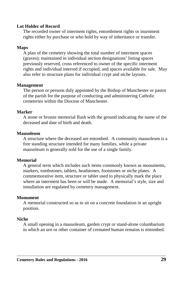## **Lot Holder of Record**

The recorded owner of interment rights, entombment rights or inurnment rights either by purchase or who hold by way of inheritance or transfer.

## **Maps**

A plan of the cemetery showing the total number of interment spaces (graves); maintained in individual section designations' listing spaces previously reserved, cross referenced to owner of the specific interment rights and individual interred if occupied, and spaces available for sale. May also refer to structure plans for individual crypt and niche layouts.

## **Management**

The person or persons duly appointed by the Bishop of Manchester or pastor of the parish for the purpose of conducting and administering Catholic cemeteries within the Diocese of Manchester.

## **Marker**

A stone or bronze memorial flush with the ground indicating the name of the deceased and date of birth and death.

## **Mausoleum**

A structure where the deceased are entombed. A community mausoleum is a free standing structure intended for many families, while a private mausoleum is generally sold for the use of a single family.

## **Memorial**

A general term which includes such items commonly known as monuments, markers, tombstones, tablets, headstones, footstones or niche plates. A commemorative item, structure or tablet used to physically mark the place where an interment has been or will be made. A memorial's style, size and installation are regulated by cemetery management.

## **Monument**

A memorial constructed so as to sit on a concrete foundation in an upright position.

## **Niche**

A small opening in a mausoleum, garden crypt or stand-alone columbarium in which an urn or other container of cremated human remains is entombed.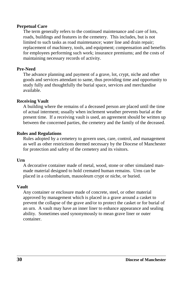## **Perpetual Care**

The term generally refers to the continued maintenance and care of lots, roads, buildings and features in the cemetery. This includes, but is not limited to such tasks as road maintenance; water line and drain repair; replacement of machinery, tools, and equipment; compensation and benefits for employees performing such work; insurance premiums; and the costs of maintaining necessary records of activity.

## **Pre-Need**

The advance planning and payment of a grave, lot, crypt, niche and other goods and services attendant to same, thus providing time and opportunity to study fully and thoughtfully the burial space, services and merchandise available.

## **Receiving Vault**

A building where the remains of a deceased person are placed until the time of actual interment; usually when inclement weather prevents burial at the present time. If a receiving vault is used, an agreement should be written up between the concerned parties, the cemetery and the family of the deceased.

## **Rules and Regulations**

Rules adopted by a cemetery to govern uses, care, control, and management as well as other restrictions deemed necessary by the Diocese of Manchester for protection and safety of the cemetery and its visitors.

## **Urn**

A decorative container made of metal, wood, stone or other simulated manmade material designed to hold cremated human remains. Urns can be placed in a columbarium, mausoleum crypt or niche, or buried.

## **Vault**

Any container or enclosure made of concrete, steel, or other material approved by management which is placed in a grave around a casket to prevent the collapse of the grave and/or to protect the casket or for burial of an urn. A vault may have an inner liner to enhance appearance and sealing ability. Sometimes used synonymously to mean grave liner or outer container.